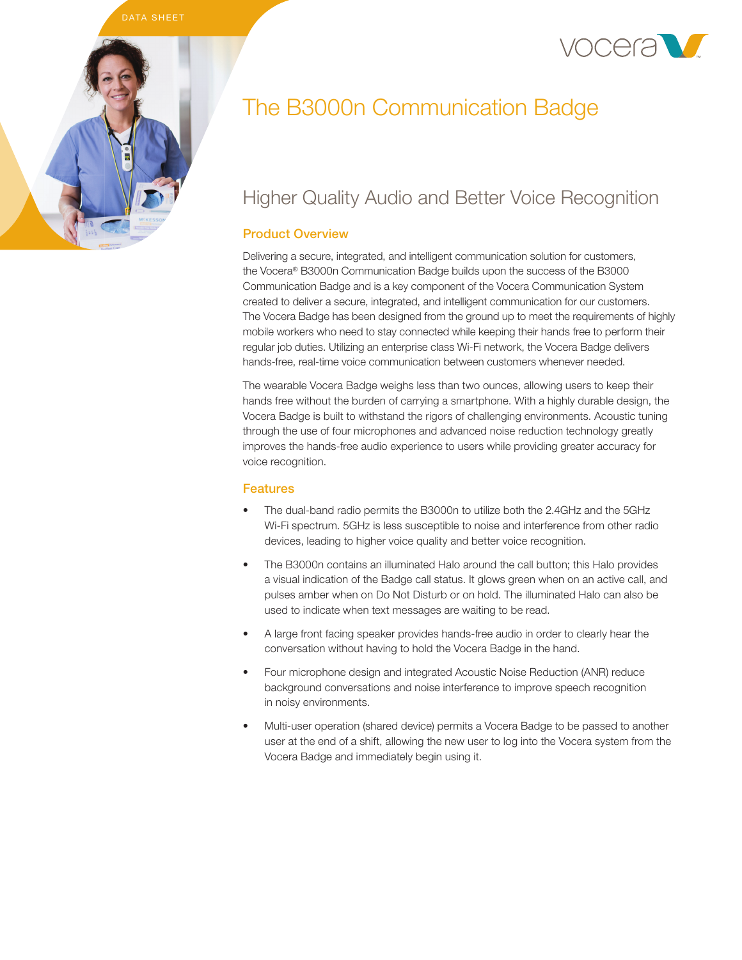# DATA SHEET





# Higher Quality Audio and Better Voice Recognition

# Product Overview

Delivering a secure, integrated, and intelligent communication solution for customers, the Vocera® B3000n Communication Badge builds upon the success of the B3000 Communication Badge and is a key component of the Vocera Communication System created to deliver a secure, integrated, and intelligent communication for our customers. The Vocera Badge has been designed from the ground up to meet the requirements of highly mobile workers who need to stay connected while keeping their hands free to perform their regular job duties. Utilizing an enterprise class Wi-Fi network, the Vocera Badge delivers hands-free, real-time voice communication between customers whenever needed.

The wearable Vocera Badge weighs less than two ounces, allowing users to keep their hands free without the burden of carrying a smartphone. With a highly durable design, the Vocera Badge is built to withstand the rigors of challenging environments. Acoustic tuning through the use of four microphones and advanced noise reduction technology greatly improves the hands-free audio experience to users while providing greater accuracy for voice recognition.

# Features

- The dual-band radio permits the B3000n to utilize both the 2.4GHz and the 5GHz Wi-Fi spectrum. 5GHz is less susceptible to noise and interference from other radio devices, leading to higher voice quality and better voice recognition.
- The B3000n contains an illuminated Halo around the call button; this Halo provides a visual indication of the Badge call status. It glows green when on an active call, and pulses amber when on Do Not Disturb or on hold. The illuminated Halo can also be used to indicate when text messages are waiting to be read.
- A large front facing speaker provides hands-free audio in order to clearly hear the conversation without having to hold the Vocera Badge in the hand.
- Four microphone design and integrated Acoustic Noise Reduction (ANR) reduce background conversations and noise interference to improve speech recognition in noisy environments.
- Multi-user operation (shared device) permits a Vocera Badge to be passed to another user at the end of a shift, allowing the new user to log into the Vocera system from the Vocera Badge and immediately begin using it.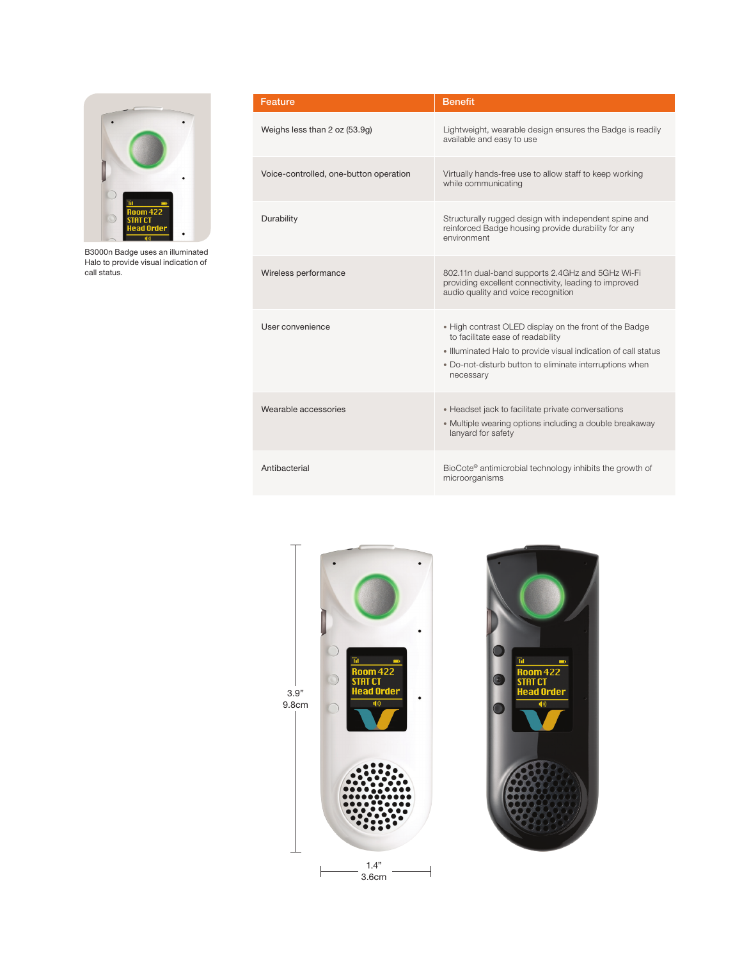

B3000n Badge uses an illuminated Halo to provide visual indication of call status.

| Feature                                | <b>Benefit</b>                                                                                                                                                                                                                        |
|----------------------------------------|---------------------------------------------------------------------------------------------------------------------------------------------------------------------------------------------------------------------------------------|
| Weighs less than 2 oz (53.9g)          | Lightweight, wearable design ensures the Badge is readily<br>available and easy to use                                                                                                                                                |
| Voice-controlled, one-button operation | Virtually hands-free use to allow staff to keep working<br>while communicating                                                                                                                                                        |
| Durability                             | Structurally rugged design with independent spine and<br>reinforced Badge housing provide durability for any<br>environment                                                                                                           |
| Wireless performance                   | 802.11n dual-band supports 2.4GHz and 5GHz Wi-Fi<br>providing excellent connectivity, leading to improved<br>audio quality and voice recognition                                                                                      |
| User convenience                       | . High contrast OLED display on the front of the Badge<br>to facilitate ease of readability<br>· Illuminated Halo to provide visual indication of call status<br>. Do-not-disturb button to eliminate interruptions when<br>necessary |
| Wearable accessories                   | • Headset jack to facilitate private conversations<br>• Multiple wearing options including a double breakaway<br>lanyard for safety                                                                                                   |
| Antibacterial                          | BioCote <sup>®</sup> antimicrobial technology inhibits the growth of<br>microorganisms                                                                                                                                                |



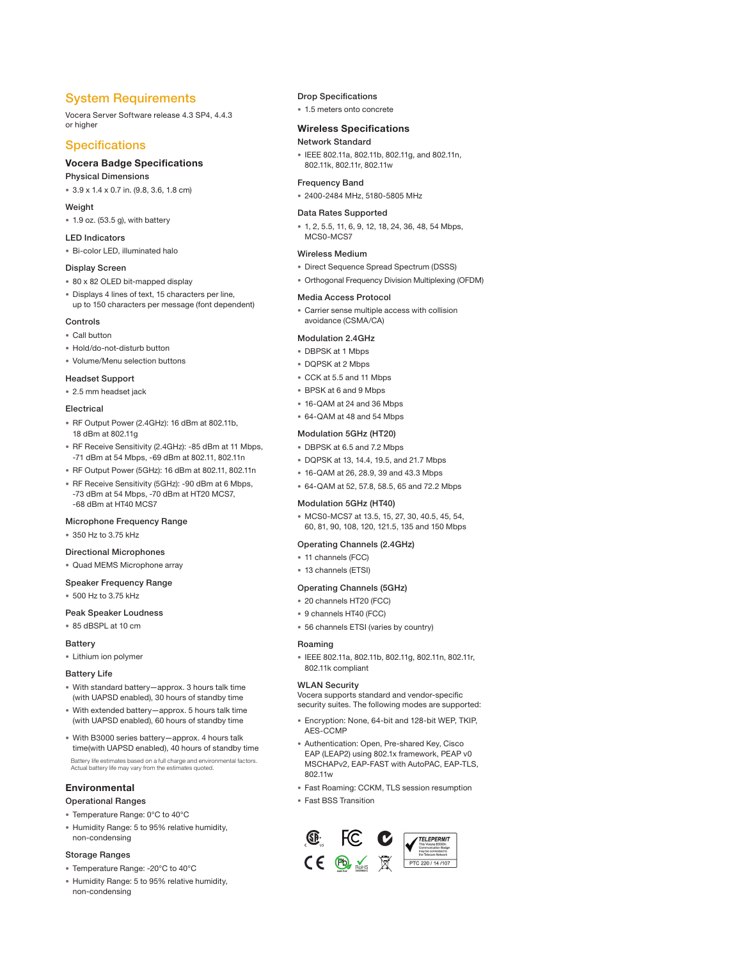## System Requirements

Vocera Server Software release 4.3 SP4, 4.4.3 or higher

### **Specifications**

#### Vocera Badge Specifications

Physical Dimensions

• 3.9 x 1.4 x 0.7 in. (9.8, 3.6, 1.8 cm)

#### Weight

• 1.9 oz. (53.5 g), with battery

#### LED Indicators

• Bi-color LED, illuminated halo

#### Display Screen

- 80 x 82 OLED bit-mapped display
- Displays 4 lines of text, 15 characters per line, up to 150 characters per message (font dependent)

#### **Controls**

#### • Call button

- Hold/do-not-disturb button
- Volume/Menu selection buttons

#### Headset Support

• 2.5 mm headset jack

#### Electrical

- RF Output Power (2.4GHz): 16 dBm at 802.11b, 18 dBm at 802.11g
- RF Receive Sensitivity (2.4GHz): -85 dBm at 11 Mbps, -71 dBm at 54 Mbps, -69 dBm at 802.11, 802.11n
- RF Output Power (5GHz): 16 dBm at 802.11, 802.11n
- RF Receive Sensitivity (5GHz): -90 dBm at 6 Mbps, -73 dBm at 54 Mbps, -70 dBm at HT20 MCS7, -68 dBm at HT40 MCS7

#### Microphone Frequency Range

• 350 Hz to 3.75 kHz

#### Directional Microphones

• Quad MEMS Microphone array

#### Speaker Frequency Range

• 500 Hz to 3.75 kHz

#### Peak Speaker Loudness

• 85 dBSPL at 10 cm

#### **Battery**

• Lithium ion polymer

#### Battery Life

- With standard battery—approx. 3 hours talk time (with UAPSD enabled), 30 hours of standby time
- With extended battery—approx. 5 hours talk time (with UAPSD enabled), 60 hours of standby time
- With B3000 series battery—approx. 4 hours talk time(with UAPSD enabled), 40 hours of standby time Battery life estimates based on a full charge and environmental factors. Actual battery life may vary from the estimates quoted.

#### Environmental

#### Operational Ranges

- Temperature Range: 0°C to 40°C
- Humidity Range: 5 to 95% relative humidity, non-condensing

#### Storage Ranges

- Temperature Range: -20°C to 40°C
- Humidity Range: 5 to 95% relative humidity, non-condensing

#### Drop Specifications

• 1.5 meters onto concrete

#### Wireless Specifications

#### Network Standard

• IEEE 802.11a, 802.11b, 802.11g, and 802.11n, 802.11k, 802.11r, 802.11w

#### Frequency Band

• 2400-2484 MHz, 5180-5805 MHz

#### Data Rates Supported

• 1, 2, 5.5, 11, 6, 9, 12, 18, 24, 36, 48, 54 Mbps, MCS0-MCS7

#### Wireless Medium

- Direct Sequence Spread Spectrum (DSSS)
- Orthogonal Frequency Division Multiplexing (OFDM)

#### Media Access Protocol

• Carrier sense multiple access with collision avoidance (CSMA/CA)

#### Modulation 2.4GHz

- DBPSK at 1 Mbps
- DQPSK at 2 Mbps
- CCK at 5.5 and 11 Mbps
- BPSK at 6 and 9 Mbps
- 16-QAM at 24 and 36 Mbps
- 64-QAM at 48 and 54 Mbps

#### Modulation 5GHz (HT20)

- DBPSK at 6.5 and 7.2 Mbps
- DQPSK at 13, 14.4, 19.5, and 21.7 Mbps
- 16-QAM at 26, 28.9, 39 and 43.3 Mbps
- 64-QAM at 52, 57.8, 58.5, 65 and 72.2 Mbps

#### Modulation 5GHz (HT40)

• MCS0-MCS7 at 13.5, 15, 27, 30, 40.5, 45, 54, 60, 81, 90, 108, 120, 121.5, 135 and 150 Mbps

#### Operating Channels (2.4GHz)

- 11 channels (FCC)
- 13 channels (ETSI)

#### Operating Channels (5GHz)

- 20 channels HT20 (FCC)
- 9 channels HT40 (FCC)
- 56 channels ETSI (varies by country)

#### Roaming

• IEEE 802.11a, 802.11b, 802.11g, 802.11n, 802.11r, 802.11k compliant

#### WLAN Security

Vocera supports standard and vendor-specific security suites. The following modes are supported:

- Encryption: None, 64-bit and 128-bit WEP, TKIP, AES-CCMP
- Authentication: Open, Pre-shared Key, Cisco EAP (LEAP2) using 802.1x framework, PEAP v0 MSCHAPv2, EAP-FAST with AutoPAC, EAP-TLS, 802.11w
- Fast Roaming: CCKM, TLS session resumption
- Fast BSS Transition